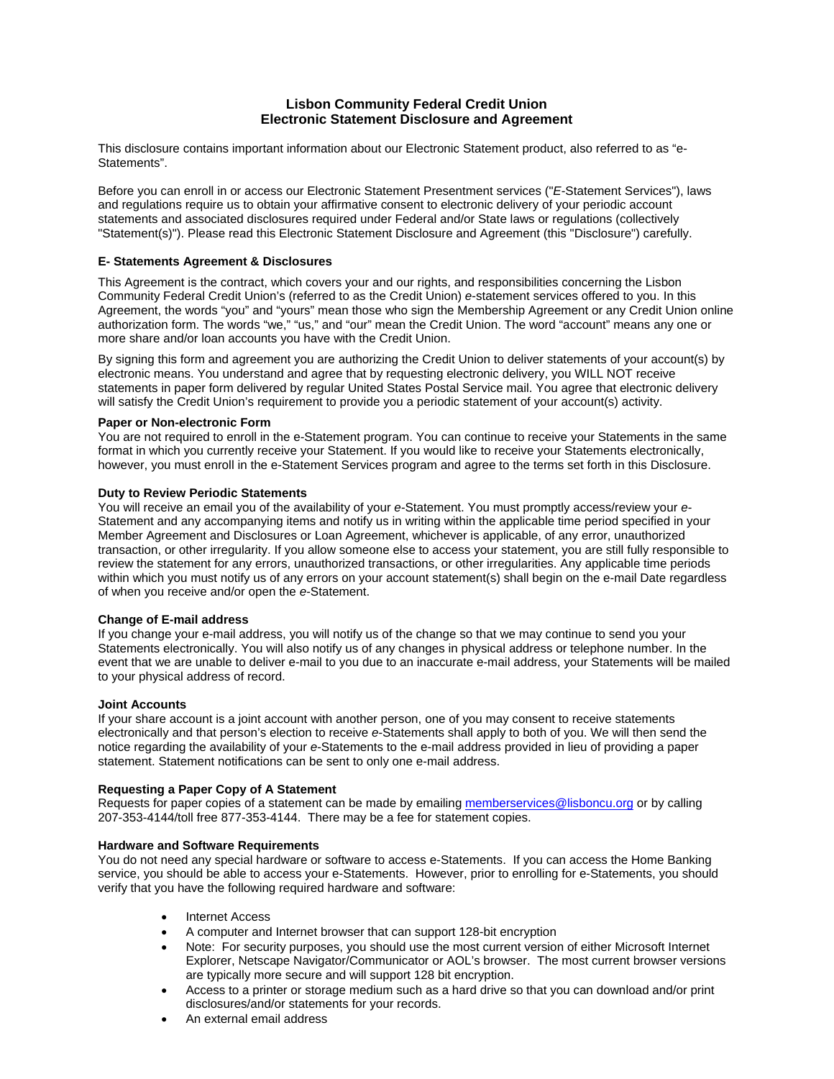# **Lisbon Community Federal Credit Union Electronic Statement Disclosure and Agreement**

This disclosure contains important information about our Electronic Statement product, also referred to as "e-Statements".

Before you can enroll in or access our Electronic Statement Presentment services ("*E*-Statement Services"), laws and regulations require us to obtain your affirmative consent to electronic delivery of your periodic account statements and associated disclosures required under Federal and/or State laws or regulations (collectively "Statement(s)"). Please read this Electronic Statement Disclosure and Agreement (this "Disclosure") carefully.

## **E- Statements Agreement & Disclosures**

This Agreement is the contract, which covers your and our rights, and responsibilities concerning the Lisbon Community Federal Credit Union's (referred to as the Credit Union) *e*-statement services offered to you. In this Agreement, the words "you" and "yours" mean those who sign the Membership Agreement or any Credit Union online authorization form. The words "we," "us," and "our" mean the Credit Union. The word "account" means any one or more share and/or loan accounts you have with the Credit Union.

By signing this form and agreement you are authorizing the Credit Union to deliver statements of your account(s) by electronic means. You understand and agree that by requesting electronic delivery, you WILL NOT receive statements in paper form delivered by regular United States Postal Service mail. You agree that electronic delivery will satisfy the Credit Union's requirement to provide you a periodic statement of your account(s) activity.

## **Paper or Non-electronic Form**

You are not required to enroll in the e-Statement program. You can continue to receive your Statements in the same format in which you currently receive your Statement. If you would like to receive your Statements electronically, however, you must enroll in the e-Statement Services program and agree to the terms set forth in this Disclosure.

## **Duty to Review Periodic Statements**

You will receive an email you of the availability of your *e-*Statement. You must promptly access/review your *e-*Statement and any accompanying items and notify us in writing within the applicable time period specified in your Member Agreement and Disclosures or Loan Agreement, whichever is applicable, of any error, unauthorized transaction, or other irregularity. If you allow someone else to access your statement, you are still fully responsible to review the statement for any errors, unauthorized transactions, or other irregularities. Any applicable time periods within which you must notify us of any errors on your account statement(s) shall begin on the e-mail Date regardless of when you receive and/or open the *e-*Statement.

## **Change of E-mail address**

If you change your e-mail address, you will notify us of the change so that we may continue to send you your Statements electronically. You will also notify us of any changes in physical address or telephone number. In the event that we are unable to deliver e-mail to you due to an inaccurate e-mail address, your Statements will be mailed to your physical address of record.

## **Joint Accounts**

If your share account is a joint account with another person, one of you may consent to receive statements electronically and that person's election to receive *e-*Statements shall apply to both of you. We will then send the notice regarding the availability of your *e-*Statements to the e-mail address provided in lieu of providing a paper statement. Statement notifications can be sent to only one e-mail address.

## **Requesting a Paper Copy of A Statement**

Requests for paper copies of a statement can be made by emailing memberservices@lisboncu.org or by calling 207-353-4144/toll free 877-353-4144. There may be a fee for statement copies.

## **Hardware and Software Requirements**

You do not need any special hardware or software to access e-Statements. If you can access the Home Banking service, you should be able to access your e-Statements. However, prior to enrolling for e-Statements, you should verify that you have the following required hardware and software:

- Internet Access
- A computer and Internet browser that can support 128-bit encryption
- Note: For security purposes, you should use the most current version of either Microsoft Internet Explorer, Netscape Navigator/Communicator or AOL's browser. The most current browser versions are typically more secure and will support 128 bit encryption.
- Access to a printer or storage medium such as a hard drive so that you can download and/or print disclosures/and/or statements for your records.
- An external email address